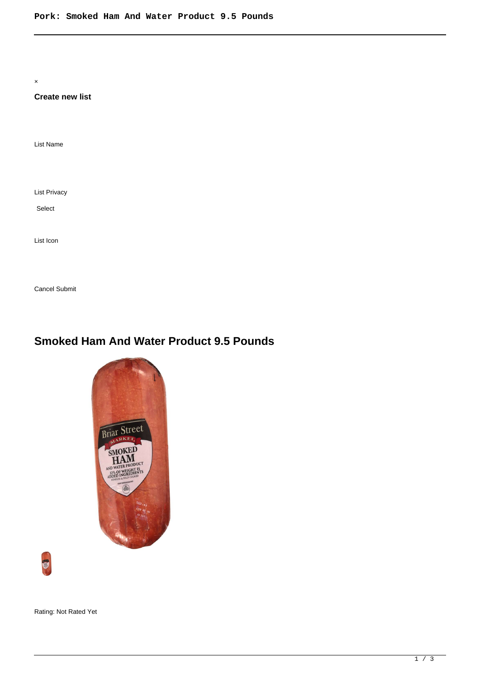×

## **Create new list**

List Name

List Privacy

Select

List Icon

Cancel Submit

# **Smoked Ham And Water Product 9.5 Pounds**





Rating: Not Rated Yet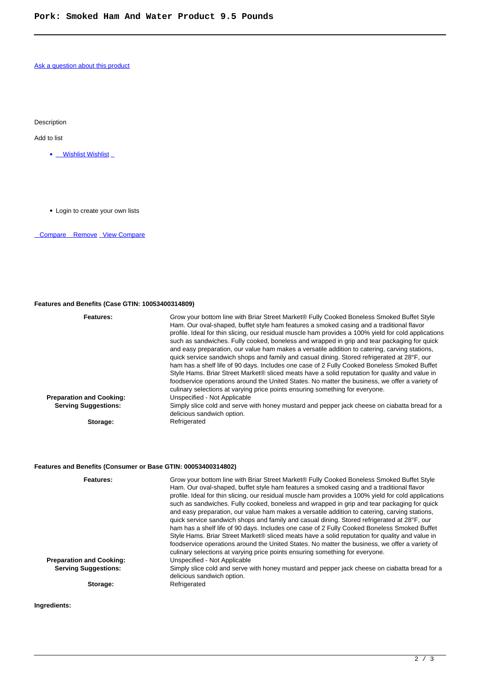#### [Ask a question about this product](https://www.summitenterprises.net/index.php?option=com_virtuemart&view=productdetails&task=askquestion&virtuemart_product_id=708&virtuemart_category_id=118&tmpl=component)

Description

Add to list

- Wishlist Wishlist
- Login to create your own lists

Compare Remove [View Compare](/component/vm2wishlists/compare)

### **Features and Benefits (Case GTIN: 10053400314809)**

| Features:                       | Grow your bottom line with Briar Street Market® Fully Cooked Boneless Smoked Buffet Style<br>Ham. Our oval-shaped, buffet style ham features a smoked casing and a traditional flavor<br>profile. Ideal for thin slicing, our residual muscle ham provides a 100% yield for cold applications<br>such as sandwiches. Fully cooked, boneless and wrapped in grip and tear packaging for quick<br>and easy preparation, our value ham makes a versatile addition to catering, carving stations,<br>quick service sandwich shops and family and casual dining. Stored refrigerated at 28°F, our<br>ham has a shelf life of 90 days. Includes one case of 2 Fully Cooked Boneless Smoked Buffet<br>Style Hams. Briar Street Market® sliced meats have a solid reputation for quality and value in<br>foodservice operations around the United States. No matter the business, we offer a variety of<br>culinary selections at varying price points ensuring something for everyone. |
|---------------------------------|---------------------------------------------------------------------------------------------------------------------------------------------------------------------------------------------------------------------------------------------------------------------------------------------------------------------------------------------------------------------------------------------------------------------------------------------------------------------------------------------------------------------------------------------------------------------------------------------------------------------------------------------------------------------------------------------------------------------------------------------------------------------------------------------------------------------------------------------------------------------------------------------------------------------------------------------------------------------------------|
| <b>Preparation and Cooking:</b> | Unspecified - Not Applicable                                                                                                                                                                                                                                                                                                                                                                                                                                                                                                                                                                                                                                                                                                                                                                                                                                                                                                                                                    |
| <b>Serving Suggestions:</b>     | Simply slice cold and serve with honey mustard and pepper jack cheese on ciabatta bread for a<br>delicious sandwich option.                                                                                                                                                                                                                                                                                                                                                                                                                                                                                                                                                                                                                                                                                                                                                                                                                                                     |
| Storage:                        | Refrigerated                                                                                                                                                                                                                                                                                                                                                                                                                                                                                                                                                                                                                                                                                                                                                                                                                                                                                                                                                                    |

## **Features and Benefits (Consumer or Base GTIN: 00053400314802)**

| Features:                       | Grow your bottom line with Briar Street Market® Fully Cooked Boneless Smoked Buffet Style<br>Ham. Our oval-shaped, buffet style ham features a smoked casing and a traditional flavor<br>profile. Ideal for thin slicing, our residual muscle ham provides a 100% yield for cold applications<br>such as sandwiches. Fully cooked, boneless and wrapped in grip and tear packaging for quick<br>and easy preparation, our value ham makes a versatile addition to catering, carving stations,<br>quick service sandwich shops and family and casual dining. Stored refrigerated at 28°F, our<br>ham has a shelf life of 90 days. Includes one case of 2 Fully Cooked Boneless Smoked Buffet<br>Style Hams. Briar Street Market® sliced meats have a solid reputation for quality and value in<br>foodservice operations around the United States. No matter the business, we offer a variety of<br>culinary selections at varying price points ensuring something for everyone. |
|---------------------------------|---------------------------------------------------------------------------------------------------------------------------------------------------------------------------------------------------------------------------------------------------------------------------------------------------------------------------------------------------------------------------------------------------------------------------------------------------------------------------------------------------------------------------------------------------------------------------------------------------------------------------------------------------------------------------------------------------------------------------------------------------------------------------------------------------------------------------------------------------------------------------------------------------------------------------------------------------------------------------------|
| <b>Preparation and Cooking:</b> | Unspecified - Not Applicable                                                                                                                                                                                                                                                                                                                                                                                                                                                                                                                                                                                                                                                                                                                                                                                                                                                                                                                                                    |
| <b>Serving Suggestions:</b>     | Simply slice cold and serve with honey mustard and pepper jack cheese on ciabatta bread for a<br>delicious sandwich option.                                                                                                                                                                                                                                                                                                                                                                                                                                                                                                                                                                                                                                                                                                                                                                                                                                                     |
| Storage:                        | Refrigerated                                                                                                                                                                                                                                                                                                                                                                                                                                                                                                                                                                                                                                                                                                                                                                                                                                                                                                                                                                    |

**Ingredients:**